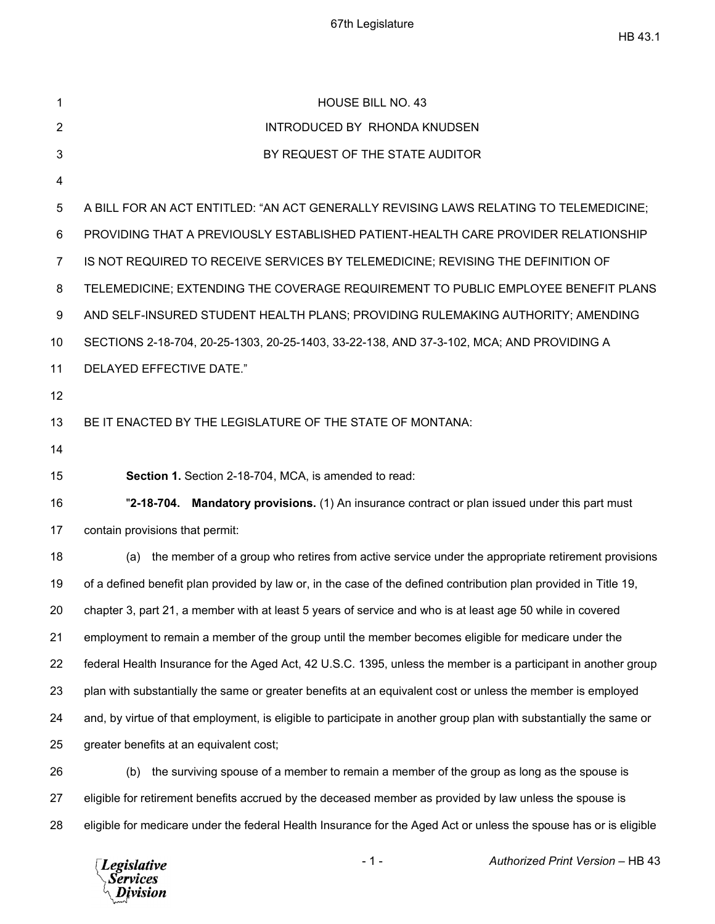| 1                                                  | <b>HOUSE BILL NO. 43</b>                                                                                           |
|----------------------------------------------------|--------------------------------------------------------------------------------------------------------------------|
| 2                                                  | INTRODUCED BY RHONDA KNUDSEN                                                                                       |
| 3                                                  | BY REQUEST OF THE STATE AUDITOR                                                                                    |
| 4                                                  |                                                                                                                    |
| 5                                                  | A BILL FOR AN ACT ENTITLED: "AN ACT GENERALLY REVISING LAWS RELATING TO TELEMEDICINE;                              |
| 6                                                  | PROVIDING THAT A PREVIOUSLY ESTABLISHED PATIENT-HEALTH CARE PROVIDER RELATIONSHIP                                  |
| $\overline{7}$                                     | IS NOT REQUIRED TO RECEIVE SERVICES BY TELEMEDICINE; REVISING THE DEFINITION OF                                    |
| 8                                                  | TELEMEDICINE; EXTENDING THE COVERAGE REQUIREMENT TO PUBLIC EMPLOYEE BENEFIT PLANS                                  |
| 9                                                  | AND SELF-INSURED STUDENT HEALTH PLANS; PROVIDING RULEMAKING AUTHORITY; AMENDING                                    |
| 10                                                 | SECTIONS 2-18-704, 20-25-1303, 20-25-1403, 33-22-138, AND 37-3-102, MCA; AND PROVIDING A                           |
| 11                                                 | DELAYED EFFECTIVE DATE."                                                                                           |
| 12                                                 |                                                                                                                    |
| 13                                                 | BE IT ENACTED BY THE LEGISLATURE OF THE STATE OF MONTANA:                                                          |
| 14                                                 |                                                                                                                    |
|                                                    |                                                                                                                    |
| 15                                                 | Section 1. Section 2-18-704, MCA, is amended to read:                                                              |
|                                                    | "2-18-704. Mandatory provisions. (1) An insurance contract or plan issued under this part must                     |
|                                                    | contain provisions that permit:                                                                                    |
|                                                    | the member of a group who retires from active service under the appropriate retirement provisions<br>(a)           |
|                                                    | of a defined benefit plan provided by law or, in the case of the defined contribution plan provided in Title 19,   |
|                                                    | chapter 3, part 21, a member with at least 5 years of service and who is at least age 50 while in covered          |
|                                                    | employment to remain a member of the group until the member becomes eligible for medicare under the                |
|                                                    | federal Health Insurance for the Aged Act, 42 U.S.C. 1395, unless the member is a participant in another group     |
|                                                    | plan with substantially the same or greater benefits at an equivalent cost or unless the member is employed        |
| 16<br>17<br>18<br>19<br>20<br>21<br>22<br>23<br>24 | and, by virtue of that employment, is eligible to participate in another group plan with substantially the same or |
| 25                                                 | greater benefits at an equivalent cost;                                                                            |
| 26                                                 | the surviving spouse of a member to remain a member of the group as long as the spouse is<br>(b)                   |
| 27                                                 | eligible for retirement benefits accrued by the deceased member as provided by law unless the spouse is            |

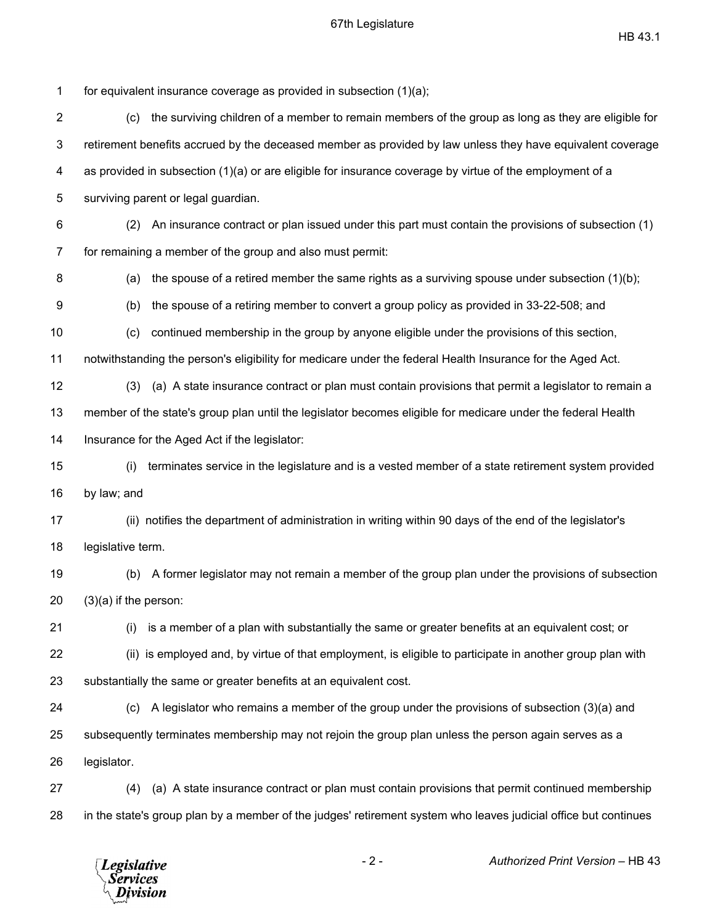$\text{HB } 43.1$ 

1 for equivalent insurance coverage as provided in subsection (1)(a); 2 (c) the surviving children of a member to remain members of the group as long as they are eligible for 3 retirement benefits accrued by the deceased member as provided by law unless they have equivalent coverage 4 as provided in subsection (1)(a) or are eligible for insurance coverage by virtue of the employment of a 5 surviving parent or legal guardian. 6 (2) An insurance contract or plan issued under this part must contain the provisions of subsection (1) 7 for remaining a member of the group and also must permit: 8 (a) the spouse of a retired member the same rights as a surviving spouse under subsection (1)(b); 9 (b) the spouse of a retiring member to convert a group policy as provided in 33-22-508; and 10 (c) continued membership in the group by anyone eligible under the provisions of this section, 11 notwithstanding the person's eligibility for medicare under the federal Health Insurance for the Aged Act. 12 (3) (a) A state insurance contract or plan must contain provisions that permit a legislator to remain a 13 member of the state's group plan until the legislator becomes eligible for medicare under the federal Health 14 Insurance for the Aged Act if the legislator: 15 (i) terminates service in the legislature and is a vested member of a state retirement system provided 16 by law; and 17 (ii) notifies the department of administration in writing within 90 days of the end of the legislator's 18 legislative term. 19 (b) A former legislator may not remain a member of the group plan under the provisions of subsection 20 (3)(a) if the person: 21 (i) is a member of a plan with substantially the same or greater benefits at an equivalent cost; or 22 (ii) is employed and, by virtue of that employment, is eligible to participate in another group plan with 23 substantially the same or greater benefits at an equivalent cost. 24 (c) A legislator who remains a member of the group under the provisions of subsection (3)(a) and 25 subsequently terminates membership may not rejoin the group plan unless the person again serves as a 26 legislator. 27 (4) (a) A state insurance contract or plan must contain provisions that permit continued membership 28 in the state's group plan by a member of the judges' retirement system who leaves judicial office but continues

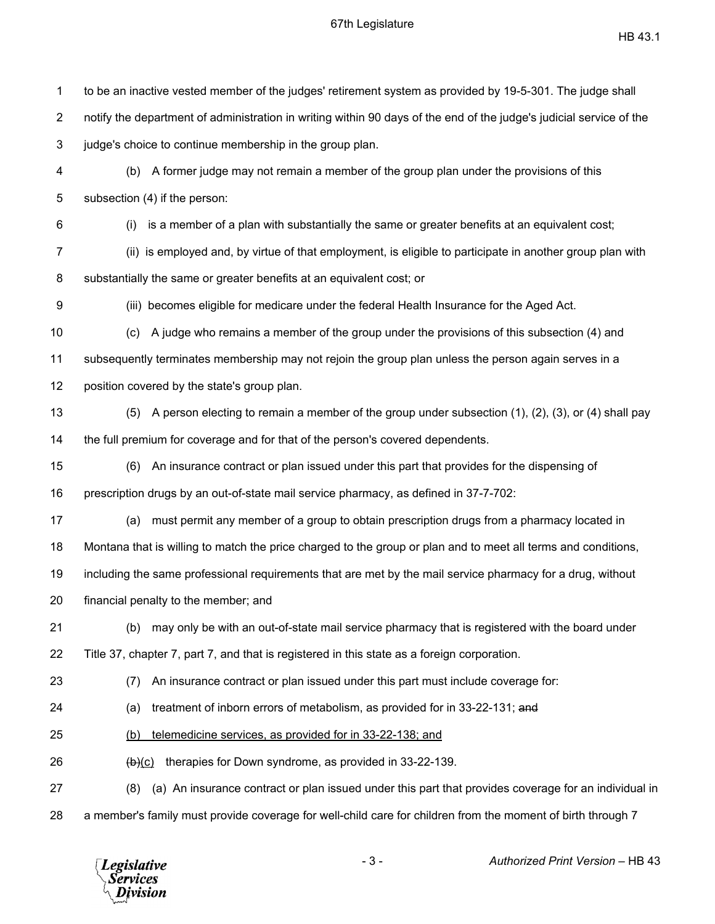| 1              | to be an inactive vested member of the judges' retirement system as provided by 19-5-301. The judge shall           |
|----------------|---------------------------------------------------------------------------------------------------------------------|
| $\overline{2}$ | notify the department of administration in writing within 90 days of the end of the judge's judicial service of the |
| 3              | judge's choice to continue membership in the group plan.                                                            |
| 4              | A former judge may not remain a member of the group plan under the provisions of this<br>(b)                        |
| 5              | subsection (4) if the person:                                                                                       |
| 6              | is a member of a plan with substantially the same or greater benefits at an equivalent cost;<br>(i)                 |
| 7              | (ii) is employed and, by virtue of that employment, is eligible to participate in another group plan with           |
| 8              | substantially the same or greater benefits at an equivalent cost; or                                                |
| 9              | (iii) becomes eligible for medicare under the federal Health Insurance for the Aged Act.                            |
| 10             | A judge who remains a member of the group under the provisions of this subsection (4) and<br>(c)                    |
| 11             | subsequently terminates membership may not rejoin the group plan unless the person again serves in a                |
| 12             | position covered by the state's group plan.                                                                         |
| 13             | A person electing to remain a member of the group under subsection (1), (2), (3), or (4) shall pay<br>(5)           |
| 14             | the full premium for coverage and for that of the person's covered dependents.                                      |
| 15             | An insurance contract or plan issued under this part that provides for the dispensing of<br>(6)                     |
| 16             | prescription drugs by an out-of-state mail service pharmacy, as defined in 37-7-702:                                |
| 17             | must permit any member of a group to obtain prescription drugs from a pharmacy located in<br>(a)                    |
| 18             | Montana that is willing to match the price charged to the group or plan and to meet all terms and conditions,       |
| 19             | including the same professional requirements that are met by the mail service pharmacy for a drug, without          |
| 20             | financial penalty to the member; and                                                                                |
| 21             | may only be with an out-of-state mail service pharmacy that is registered with the board under<br>(b)               |
| 22             | Title 37, chapter 7, part 7, and that is registered in this state as a foreign corporation.                         |
| 23             | An insurance contract or plan issued under this part must include coverage for:<br>(7)                              |
| 24             | treatment of inborn errors of metabolism, as provided for in 33-22-131; and<br>(a)                                  |
| 25             | telemedicine services, as provided for in 33-22-138; and<br>(b)                                                     |
| 26             | therapies for Down syndrome, as provided in 33-22-139.<br>$\frac{(b)(c)}{c}$                                        |
| 27             | (a) An insurance contract or plan issued under this part that provides coverage for an individual in<br>(8)         |
| 28             | a member's family must provide coverage for well-child care for children from the moment of birth through 7         |
|                |                                                                                                                     |

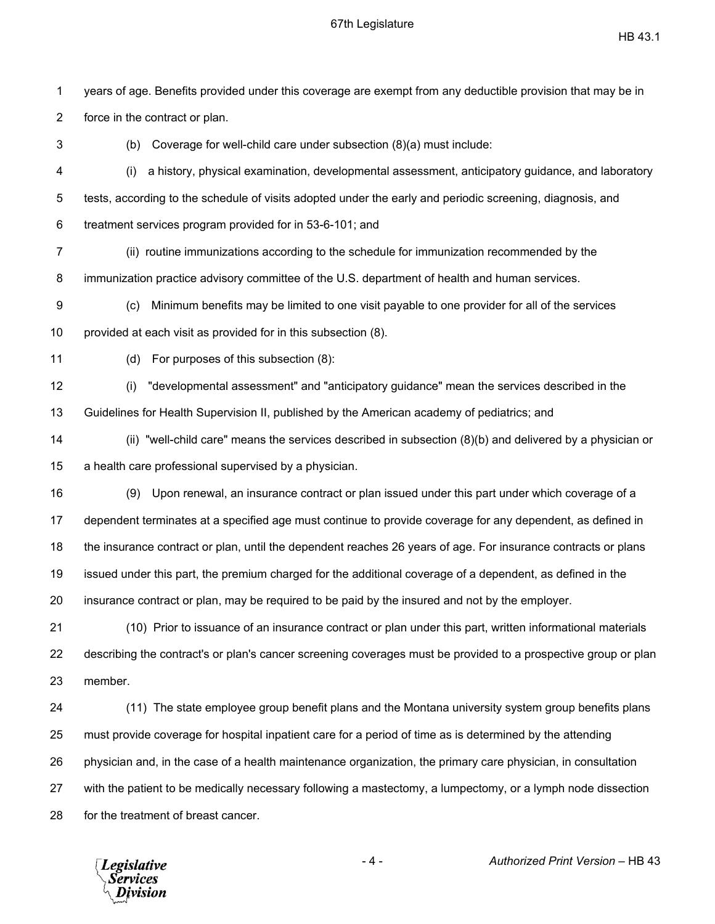$\text{HB } 43.1$ 

1 years of age. Benefits provided under this coverage are exempt from any deductible provision that may be in 2 force in the contract or plan. 3 (b) Coverage for well-child care under subsection (8)(a) must include: 4 (i) a history, physical examination, developmental assessment, anticipatory guidance, and laboratory 5 tests, according to the schedule of visits adopted under the early and periodic screening, diagnosis, and 6 treatment services program provided for in 53-6-101; and 7 (ii) routine immunizations according to the schedule for immunization recommended by the 8 immunization practice advisory committee of the U.S. department of health and human services. 9 (c) Minimum benefits may be limited to one visit payable to one provider for all of the services 10 provided at each visit as provided for in this subsection (8). 11 (d) For purposes of this subsection (8): 12 (i) "developmental assessment" and "anticipatory guidance" mean the services described in the 13 Guidelines for Health Supervision II, published by the American academy of pediatrics; and 14 (ii) "well-child care" means the services described in subsection (8)(b) and delivered by a physician or 15 a health care professional supervised by a physician. 16 (9) Upon renewal, an insurance contract or plan issued under this part under which coverage of a 17 dependent terminates at a specified age must continue to provide coverage for any dependent, as defined in 18 the insurance contract or plan, until the dependent reaches 26 years of age. For insurance contracts or plans 19 issued under this part, the premium charged for the additional coverage of a dependent, as defined in the 20 insurance contract or plan, may be required to be paid by the insured and not by the employer. 21 (10) Prior to issuance of an insurance contract or plan under this part, written informational materials 22 describing the contract's or plan's cancer screening coverages must be provided to a prospective group or plan 23 member. 24 (11) The state employee group benefit plans and the Montana university system group benefits plans 25 must provide coverage for hospital inpatient care for a period of time as is determined by the attending 26 physician and, in the case of a health maintenance organization, the primary care physician, in consultation 27 with the patient to be medically necessary following a mastectomy, a lumpectomy, or a lymph node dissection 28 for the treatment of breast cancer.

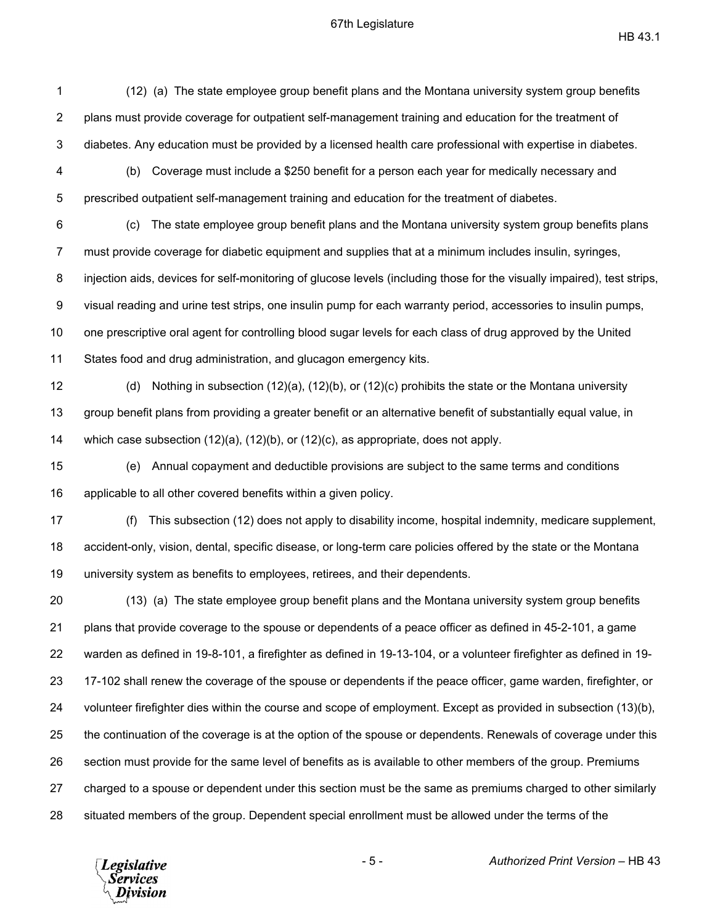$\text{HB } 43.1$ 

1 (12) (a) The state employee group benefit plans and the Montana university system group benefits 2 plans must provide coverage for outpatient self-management training and education for the treatment of 3 diabetes. Any education must be provided by a licensed health care professional with expertise in diabetes. 4 (b) Coverage must include a \$250 benefit for a person each year for medically necessary and 5 prescribed outpatient self-management training and education for the treatment of diabetes. 6 (c) The state employee group benefit plans and the Montana university system group benefits plans 7 must provide coverage for diabetic equipment and supplies that at a minimum includes insulin, syringes, 8 injection aids, devices for self-monitoring of glucose levels (including those for the visually impaired), test strips, 9 visual reading and urine test strips, one insulin pump for each warranty period, accessories to insulin pumps, 10 one prescriptive oral agent for controlling blood sugar levels for each class of drug approved by the United 11 States food and drug administration, and glucagon emergency kits. 12 (d) Nothing in subsection (12)(a), (12)(b), or (12)(c) prohibits the state or the Montana university 13 group benefit plans from providing a greater benefit or an alternative benefit of substantially equal value, in 14 which case subsection (12)(a), (12)(b), or (12)(c), as appropriate, does not apply. 15 (e) Annual copayment and deductible provisions are subject to the same terms and conditions 16 applicable to all other covered benefits within a given policy. 17 (f) This subsection (12) does not apply to disability income, hospital indemnity, medicare supplement, 18 accident-only, vision, dental, specific disease, or long-term care policies offered by the state or the Montana 19 university system as benefits to employees, retirees, and their dependents. 20 (13) (a) The state employee group benefit plans and the Montana university system group benefits 21 plans that provide coverage to the spouse or dependents of a peace officer as defined in 45-2-101, a game 22 warden as defined in 19-8-101, a firefighter as defined in 19-13-104, or a volunteer firefighter as defined in 19- 23 17-102 shall renew the coverage of the spouse or dependents if the peace officer, game warden, firefighter, or 24 volunteer firefighter dies within the course and scope of employment. Except as provided in subsection (13)(b), 25 the continuation of the coverage is at the option of the spouse or dependents. Renewals of coverage under this 26 section must provide for the same level of benefits as is available to other members of the group. Premiums 27 charged to a spouse or dependent under this section must be the same as premiums charged to other similarly 28 situated members of the group. Dependent special enrollment must be allowed under the terms of the

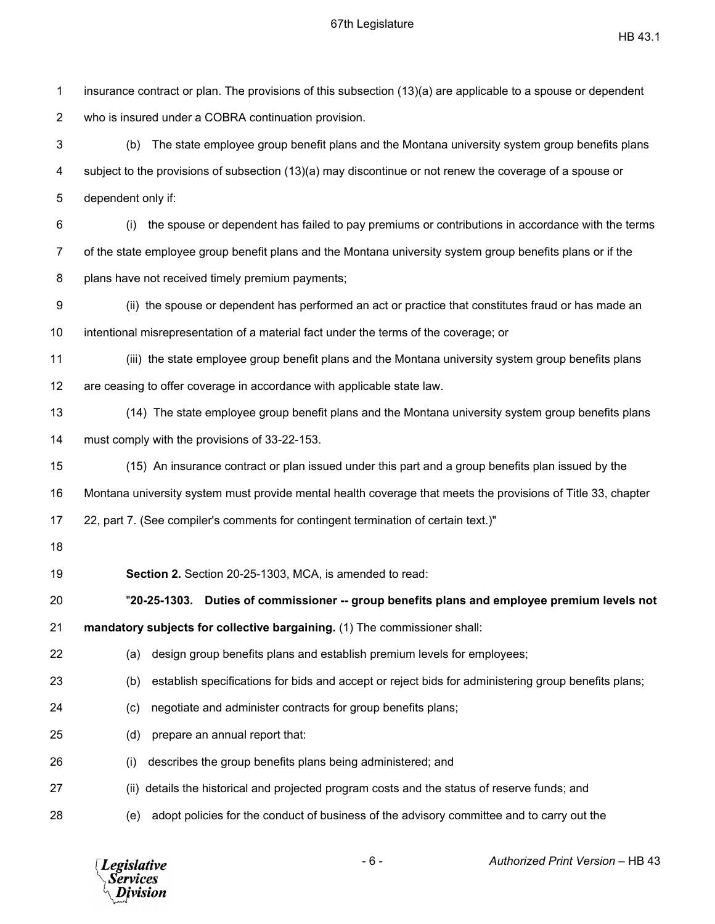| 1              | insurance contract or plan. The provisions of this subsection (13)(a) are applicable to a spouse or dependent |
|----------------|---------------------------------------------------------------------------------------------------------------|
| $\overline{2}$ | who is insured under a COBRA continuation provision.                                                          |
| 3              | The state employee group benefit plans and the Montana university system group benefits plans<br>(b)          |
| 4              | subject to the provisions of subsection (13)(a) may discontinue or not renew the coverage of a spouse or      |
| 5              | dependent only if:                                                                                            |
| 6              | the spouse or dependent has failed to pay premiums or contributions in accordance with the terms<br>(i)       |
| $\overline{7}$ | of the state employee group benefit plans and the Montana university system group benefits plans or if the    |
| 8              | plans have not received timely premium payments;                                                              |
| 9              | (ii) the spouse or dependent has performed an act or practice that constitutes fraud or has made an           |
| 10             | intentional misrepresentation of a material fact under the terms of the coverage; or                          |
| 11             | (iii) the state employee group benefit plans and the Montana university system group benefits plans           |
| 12             | are ceasing to offer coverage in accordance with applicable state law.                                        |
| 13             | (14) The state employee group benefit plans and the Montana university system group benefits plans            |
| 14             | must comply with the provisions of 33-22-153.                                                                 |
| 15             | (15) An insurance contract or plan issued under this part and a group benefits plan issued by the             |
| 16             | Montana university system must provide mental health coverage that meets the provisions of Title 33, chapter  |
| 17             | 22, part 7. (See compiler's comments for contingent termination of certain text.)"                            |
| 18             |                                                                                                               |
| 19             | Section 2. Section 20-25-1303, MCA, is amended to read:                                                       |
| 20             | "20-25-1303. Duties of commissioner -- group benefits plans and employee premium levels not                   |
| 21             | mandatory subjects for collective bargaining. (1) The commissioner shall:                                     |
| 22             | design group benefits plans and establish premium levels for employees;<br>(a)                                |
| 23             | establish specifications for bids and accept or reject bids for administering group benefits plans;<br>(b)    |
| 24             | negotiate and administer contracts for group benefits plans;<br>(c)                                           |
| 25             | prepare an annual report that:<br>(d)                                                                         |
| 26             | describes the group benefits plans being administered; and<br>(i)                                             |
| 27             | details the historical and projected program costs and the status of reserve funds; and<br>(ii)               |
| 28             | adopt policies for the conduct of business of the advisory committee and to carry out the<br>(e)              |
|                |                                                                                                               |

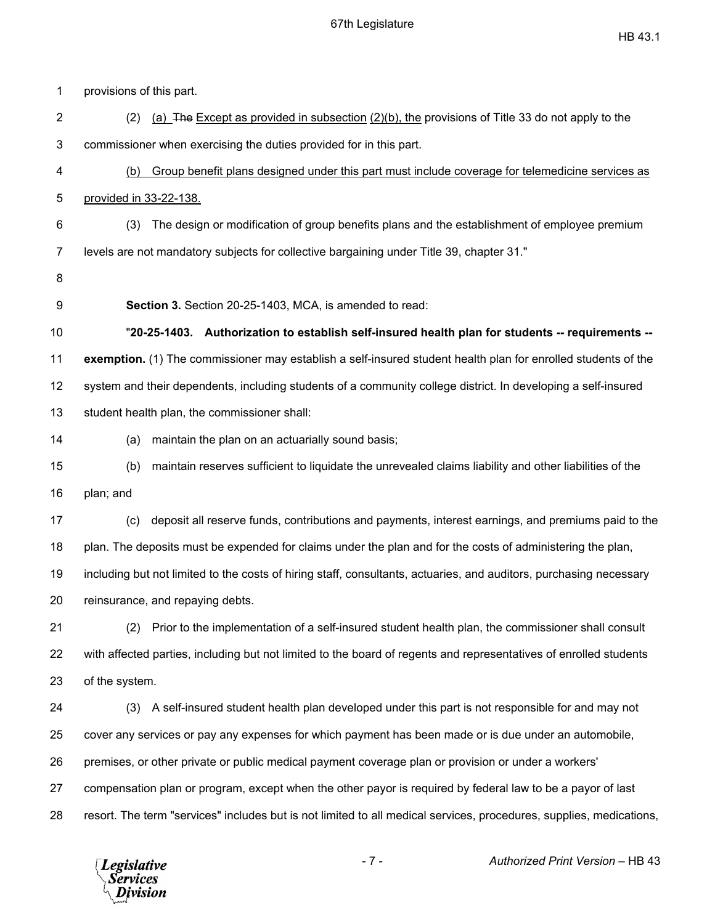| 1  | provisions of this part.                                                                                              |
|----|-----------------------------------------------------------------------------------------------------------------------|
| 2  | (a) $\overline{z}$ The Except as provided in subsection (2)(b), the provisions of Title 33 do not apply to the<br>(2) |
| 3  | commissioner when exercising the duties provided for in this part.                                                    |
| 4  | Group benefit plans designed under this part must include coverage for telemedicine services as<br>(b)                |
| 5  | provided in 33-22-138.                                                                                                |
| 6  | The design or modification of group benefits plans and the establishment of employee premium<br>(3)                   |
| 7  | levels are not mandatory subjects for collective bargaining under Title 39, chapter 31."                              |
| 8  |                                                                                                                       |
| 9  | Section 3. Section 20-25-1403, MCA, is amended to read:                                                               |
| 10 | "20-25-1403. Authorization to establish self-insured health plan for students -- requirements --                      |
| 11 | exemption. (1) The commissioner may establish a self-insured student health plan for enrolled students of the         |
| 12 | system and their dependents, including students of a community college district. In developing a self-insured         |
| 13 | student health plan, the commissioner shall:                                                                          |
| 14 | maintain the plan on an actuarially sound basis;<br>(a)                                                               |
| 15 | maintain reserves sufficient to liquidate the unrevealed claims liability and other liabilities of the<br>(b)         |
| 16 | plan; and                                                                                                             |
| 17 | deposit all reserve funds, contributions and payments, interest earnings, and premiums paid to the<br>(c)             |
| 18 | plan. The deposits must be expended for claims under the plan and for the costs of administering the plan,            |
| 19 | including but not limited to the costs of hiring staff, consultants, actuaries, and auditors, purchasing necessary    |
| 20 | reinsurance, and repaying debts.                                                                                      |
| 21 | Prior to the implementation of a self-insured student health plan, the commissioner shall consult<br>(2)              |
| 22 | with affected parties, including but not limited to the board of regents and representatives of enrolled students     |
| 23 | of the system.                                                                                                        |
| 24 | (3) A self-insured student health plan developed under this part is not responsible for and may not                   |
| 25 | cover any services or pay any expenses for which payment has been made or is due under an automobile,                 |
| 26 | premises, or other private or public medical payment coverage plan or provision or under a workers'                   |
| 27 | compensation plan or program, except when the other payor is required by federal law to be a payor of last            |
| 28 | resort. The term "services" includes but is not limited to all medical services, procedures, supplies, medications,   |
|    |                                                                                                                       |

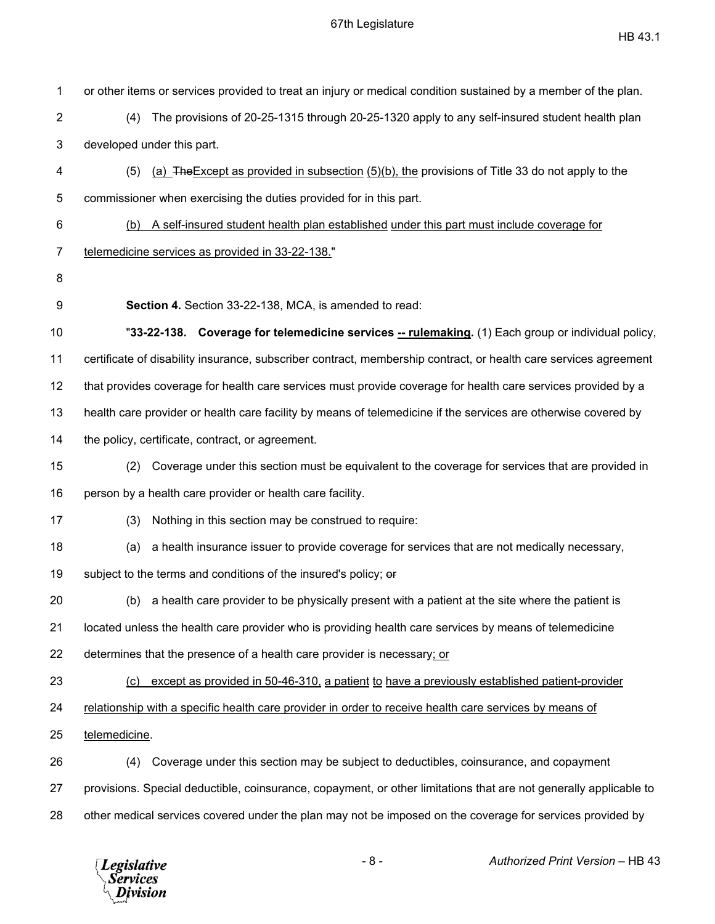| 1  | or other items or services provided to treat an injury or medical condition sustained by a member of the plan.    |
|----|-------------------------------------------------------------------------------------------------------------------|
| 2  | The provisions of 20-25-1315 through 20-25-1320 apply to any self-insured student health plan<br>(4)              |
| 3  | developed under this part.                                                                                        |
| 4  | (a) The Except as provided in subsection (5)(b), the provisions of Title 33 do not apply to the<br>(5)            |
| 5  | commissioner when exercising the duties provided for in this part.                                                |
| 6  | A self-insured student health plan established under this part must include coverage for<br>(b)                   |
| 7  | telemedicine services as provided in 33-22-138."                                                                  |
| 8  |                                                                                                                   |
| 9  | Section 4. Section 33-22-138, MCA, is amended to read:                                                            |
| 10 | "33-22-138. Coverage for telemedicine services -- rulemaking. (1) Each group or individual policy,                |
| 11 | certificate of disability insurance, subscriber contract, membership contract, or health care services agreement  |
| 12 | that provides coverage for health care services must provide coverage for health care services provided by a      |
| 13 | health care provider or health care facility by means of telemedicine if the services are otherwise covered by    |
| 14 | the policy, certificate, contract, or agreement.                                                                  |
| 15 | Coverage under this section must be equivalent to the coverage for services that are provided in<br>(2)           |
| 16 | person by a health care provider or health care facility.                                                         |
| 17 | Nothing in this section may be construed to require:<br>(3)                                                       |
| 18 | a health insurance issuer to provide coverage for services that are not medically necessary,<br>(a)               |
| 19 | subject to the terms and conditions of the insured's policy; or                                                   |
| 20 | (b) a health care provider to be physically present with a patient at the site where the patient is               |
| 21 | located unless the health care provider who is providing health care services by means of telemedicine            |
| 22 | determines that the presence of a health care provider is necessary; or                                           |
| 23 | except as provided in 50-46-310, a patient to have a previously established patient-provider<br>(c)               |
| 24 | relationship with a specific health care provider in order to receive health care services by means of            |
| 25 | telemedicine.                                                                                                     |
| 26 | Coverage under this section may be subject to deductibles, coinsurance, and copayment<br>(4)                      |
| 27 | provisions. Special deductible, coinsurance, copayment, or other limitations that are not generally applicable to |
| 28 | other medical services covered under the plan may not be imposed on the coverage for services provided by         |

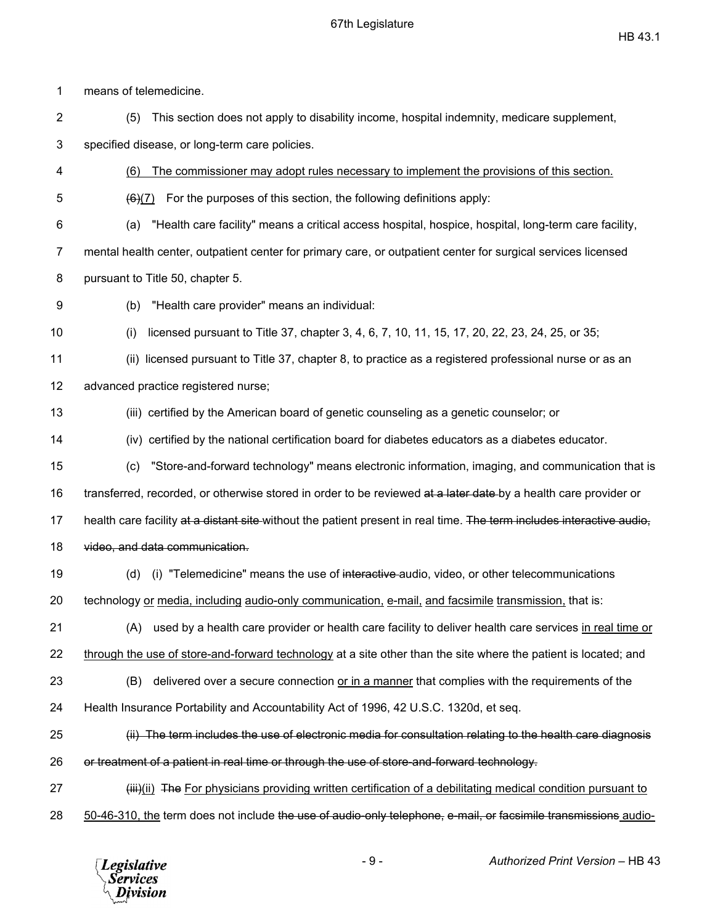$\text{HB } 43.1$ 

1 means of telemedicine. 2 (5) This section does not apply to disability income, hospital indemnity, medicare supplement, 3 specified disease, or long-term care policies. 4 (6) The commissioner may adopt rules necessary to implement the provisions of this section.  $5 \left( \frac{6}{6}\right)$  For the purposes of this section, the following definitions apply: 6 (a) "Health care facility" means a critical access hospital, hospice, hospital, long-term care facility, 7 mental health center, outpatient center for primary care, or outpatient center for surgical services licensed 8 pursuant to Title 50, chapter 5. 9 (b) "Health care provider" means an individual: 10 (i) licensed pursuant to Title 37, chapter 3, 4, 6, 7, 10, 11, 15, 17, 20, 22, 23, 24, 25, or 35; 11 (ii) licensed pursuant to Title 37, chapter 8, to practice as a registered professional nurse or as an 12 advanced practice registered nurse; 13 (iii) certified by the American board of genetic counseling as a genetic counselor; or 14 (iv) certified by the national certification board for diabetes educators as a diabetes educator. 15 (c) "Store-and-forward technology" means electronic information, imaging, and communication that is 16 transferred, recorded, or otherwise stored in order to be reviewed at a later date by a health care provider or 17 health care facility at a distant site without the patient present in real time. The term includes interactive audio, 18 video, and data communication. 19 (d) (i) "Telemedicine" means the use of interactive audio, video, or other telecommunications 20 technology or media, including audio-only communication, e-mail, and facsimile transmission, that is: 21 (A) used by a health care provider or health care facility to deliver health care services in real time or 22 through the use of store-and-forward technology at a site other than the site where the patient is located; and 23 (B) delivered over a secure connection or in a manner that complies with the requirements of the 24 Health Insurance Portability and Accountability Act of 1996, 42 U.S.C. 1320d, et seq. 25 (ii) The term includes the use of electronic media for consultation relating to the health care diagnosis 26 or treatment of a patient in real time or through the use of store-and-forward technology. 27 **(iii)**(ii) The For physicians providing written certification of a debilitating medical condition pursuant to 28 50-46-310, the term does not include the use of audio-only telephone, e-mail, or facsimile transmissions audio-

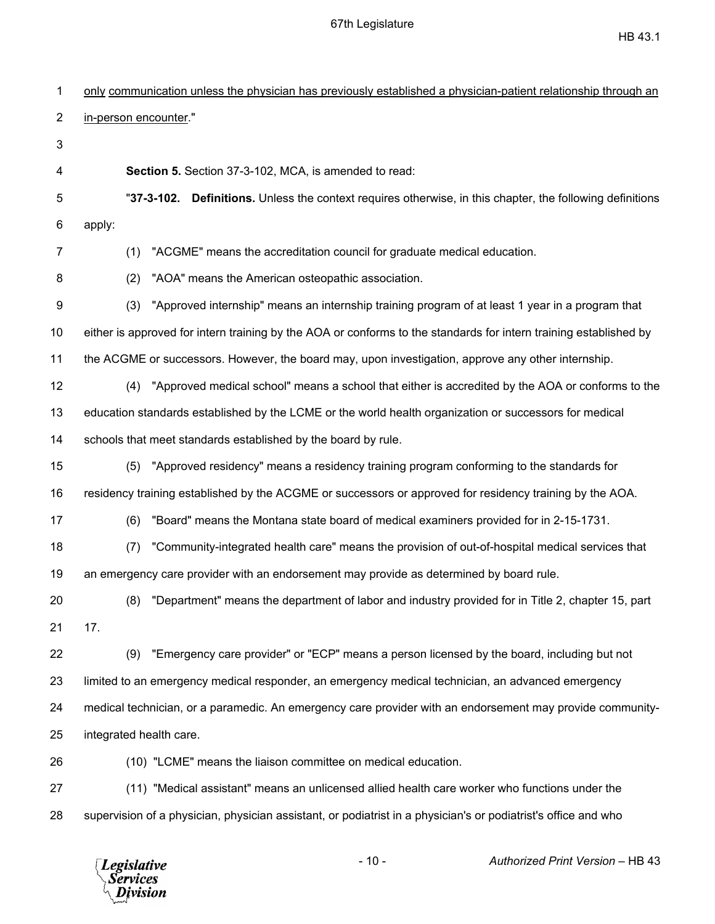$\text{HB } 43.1$ 

| 1              | only communication unless the physician has previously established a physician-patient relationship through an    |
|----------------|-------------------------------------------------------------------------------------------------------------------|
| $\overline{c}$ | in-person encounter."                                                                                             |
| 3              |                                                                                                                   |
| 4              | Section 5. Section 37-3-102, MCA, is amended to read:                                                             |
| 5              | "37-3-102. Definitions. Unless the context requires otherwise, in this chapter, the following definitions         |
| 6              | apply:                                                                                                            |
| 7              | "ACGME" means the accreditation council for graduate medical education.<br>(1)                                    |
| 8              | "AOA" means the American osteopathic association.<br>(2)                                                          |
| 9              | "Approved internship" means an internship training program of at least 1 year in a program that<br>(3)            |
| 10             | either is approved for intern training by the AOA or conforms to the standards for intern training established by |
| 11             | the ACGME or successors. However, the board may, upon investigation, approve any other internship.                |
| 12             | "Approved medical school" means a school that either is accredited by the AOA or conforms to the<br>(4)           |
| 13             | education standards established by the LCME or the world health organization or successors for medical            |
| 14             | schools that meet standards established by the board by rule.                                                     |
| 15             | "Approved residency" means a residency training program conforming to the standards for<br>(5)                    |
| 16             | residency training established by the ACGME or successors or approved for residency training by the AOA.          |
| 17             | "Board" means the Montana state board of medical examiners provided for in 2-15-1731.<br>(6)                      |
| 18             | "Community-integrated health care" means the provision of out-of-hospital medical services that<br>(7)            |
| 19             | an emergency care provider with an endorsement may provide as determined by board rule.                           |
| 20             | "Department" means the department of labor and industry provided for in Title 2, chapter 15, part<br>(8)          |
| 21             | 17.                                                                                                               |
| 22             | "Emergency care provider" or "ECP" means a person licensed by the board, including but not<br>(9)                 |
| 23             | limited to an emergency medical responder, an emergency medical technician, an advanced emergency                 |
| 24             | medical technician, or a paramedic. An emergency care provider with an endorsement may provide community-         |
| 25             | integrated health care.                                                                                           |
| 26             | (10) "LCME" means the liaison committee on medical education.                                                     |
| 27             | (11) "Medical assistant" means an unlicensed allied health care worker who functions under the                    |
|                |                                                                                                                   |

28 supervision of a physician, physician assistant, or podiatrist in a physician's or podiatrist's office and who